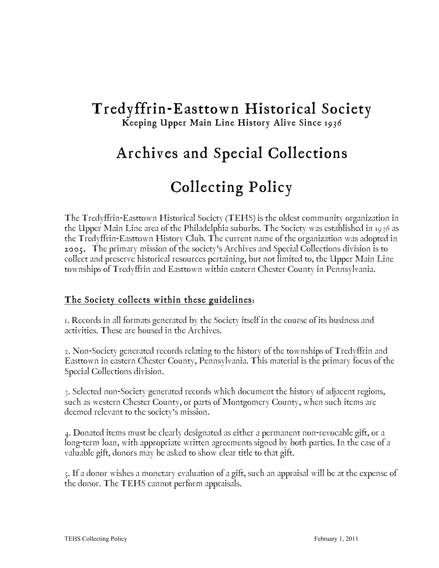# Tredyffrin-Easttown Historical Society Keeping Upper Main Line History Alive Since 1936

# Archives and Special Collections Collecting Policy

The Tredyffrin-Easttown Historical Society (TEHS) is the oldest community organization in the Upper Main Line area of the Philadelphia suburbs. The Society was established in 1936 as the Tredyffrin-Easttown History Club. The current name of the organization was adopted in 2005. The primary mission of the society's Archives and Special Collections division is to collect and preserve historical resources pertaining, but not limited to, the Upper Main Line townships of Tredyffrin and Easttown within eastern Chester County in Pennsylvania.

### The Society collects within these guidelines:

1. Records in all formats generated by the Society itself in the course of its business and activities. These are housed in the Archives.

2. Non-Society generated records relating to the history of the townships of Tredyffrin and Easttown in eastern Chester County, Pennsylvania. This material is the primary focus of the Special Collections division.

3. Selected non-Society generated records which document the history of adjacent regions, such as western Chester County, or parts of Montgomery County, when such items are deemed relevant to the society's mission.

4. Donated items must be clearly designated as either a permanent non-revocable gift, or a long-term loan, with appropriate written agreements signed by both parties. In the case of a valuable gift, donors may be asked to show clear title to that gift.

5. If a donor wishes a monetary evaluation of a gift, such an appraisal will be at the expense of the donor. The TEHS cannot perform appraisals.